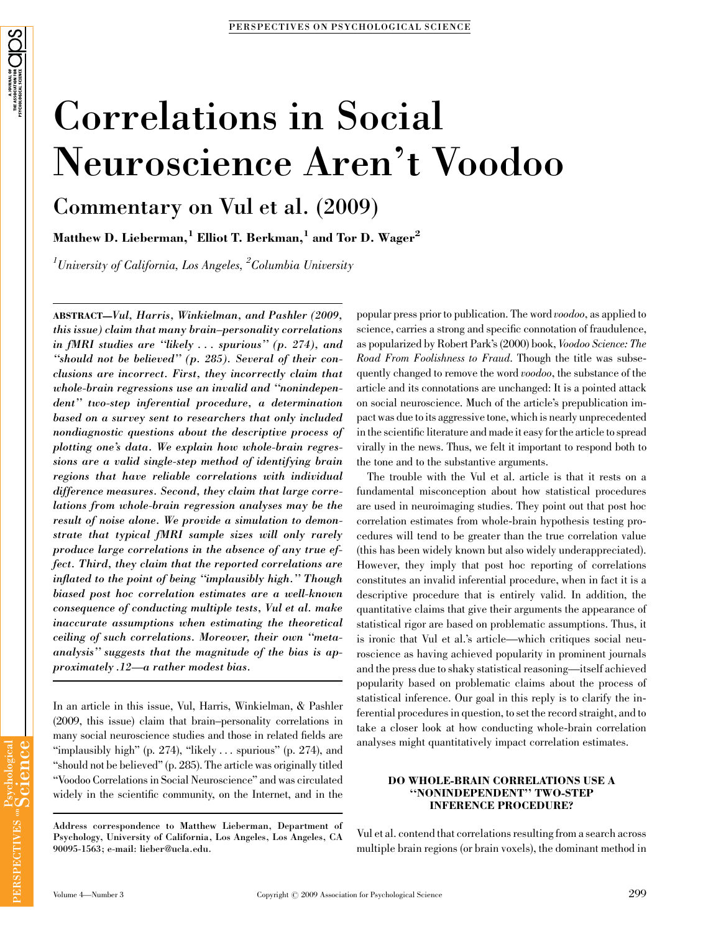# Correlations in Social Neuroscience Aren't Voodoo

# Commentary on Vul et al. (2009)

Matthew D. Lieberman,<sup>1</sup> Elliot T. Berkman,<sup>1</sup> and Tor D. Wager<sup>2</sup>

 $^1$ University of California, Los Angeles,  $^2$ Columbia University

ABSTRACT—Vul, Harris, Winkielman, and Pashler (2009, this issue) claim that many brain–personality correlations in fMRI studies are ''likely . . . spurious'' (p. 274), and "should not be believed" (p. 285). Several of their conclusions are incorrect. First, they incorrectly claim that whole-brain regressions use an invalid and ''nonindependent'' two-step inferential procedure, a determination based on a survey sent to researchers that only included nondiagnostic questions about the descriptive process of plotting one's data. We explain how whole-brain regressions are a valid single-step method of identifying brain regions that have reliable correlations with individual difference measures. Second, they claim that large correlations from whole-brain regression analyses may be the result of noise alone. We provide a simulation to demonstrate that typical fMRI sample sizes will only rarely produce large correlations in the absence of any true effect. Third, they claim that the reported correlations are inflated to the point of being ''implausibly high.'' Though biased post hoc correlation estimates are a well-known consequence of conducting multiple tests, Vul et al. make inaccurate assumptions when estimating the theoretical ceiling of such correlations. Moreover, their own ''metaanalysis'' suggests that the magnitude of the bias is approximately .12—a rather modest bias.

In an article in this issue, Vul, Harris, Winkielman, & Pashler (2009, this issue) claim that brain–personality correlations in many social neuroscience studies and those in related fields are "implausibly high" (p. 274), "likely  $\dots$  spurious" (p. 274), and "should not be believed" (p. 285). The article was originally titled ''Voodoo Correlations in Social Neuroscience'' and was circulated widely in the scientific community, on the Internet, and in the

popular press prior to publication. The word voodoo, as applied to science, carries a strong and specific connotation of fraudulence, as popularized by Robert Park's (2000) book, Voodoo Science: The Road From Foolishness to Fraud. Though the title was subsequently changed to remove the word voodoo, the substance of the article and its connotations are unchanged: It is a pointed attack on social neuroscience. Much of the article's prepublication impact was due to its aggressive tone, which is nearly unprecedented in the scientific literature and made it easy for the article to spread virally in the news. Thus, we felt it important to respond both to the tone and to the substantive arguments.

The trouble with the Vul et al. article is that it rests on a fundamental misconception about how statistical procedures are used in neuroimaging studies. They point out that post hoc correlation estimates from whole-brain hypothesis testing procedures will tend to be greater than the true correlation value (this has been widely known but also widely underappreciated). However, they imply that post hoc reporting of correlations constitutes an invalid inferential procedure, when in fact it is a descriptive procedure that is entirely valid. In addition, the quantitative claims that give their arguments the appearance of statistical rigor are based on problematic assumptions. Thus, it is ironic that Vul et al.'s article—which critiques social neuroscience as having achieved popularity in prominent journals and the press due to shaky statistical reasoning—itself achieved popularity based on problematic claims about the process of statistical inference. Our goal in this reply is to clarify the inferential procedures in question, to set the record straight, and to take a closer look at how conducting whole-brain correlation analyses might quantitatively impact correlation estimates.

## DO WHOLE-BRAIN CORRELATIONS USE A ''NONINDEPENDENT'' TWO-STEP INFERENCE PROCEDURE?

Vul et al. contend that correlations resulting from a search across multiple brain regions (or brain voxels), the dominant method in

Address correspondence to Matthew Lieberman, Department of Psychology, University of California, Los Angeles, Los Angeles, CA 90095-1563; e-mail: lieber@ucla.edu.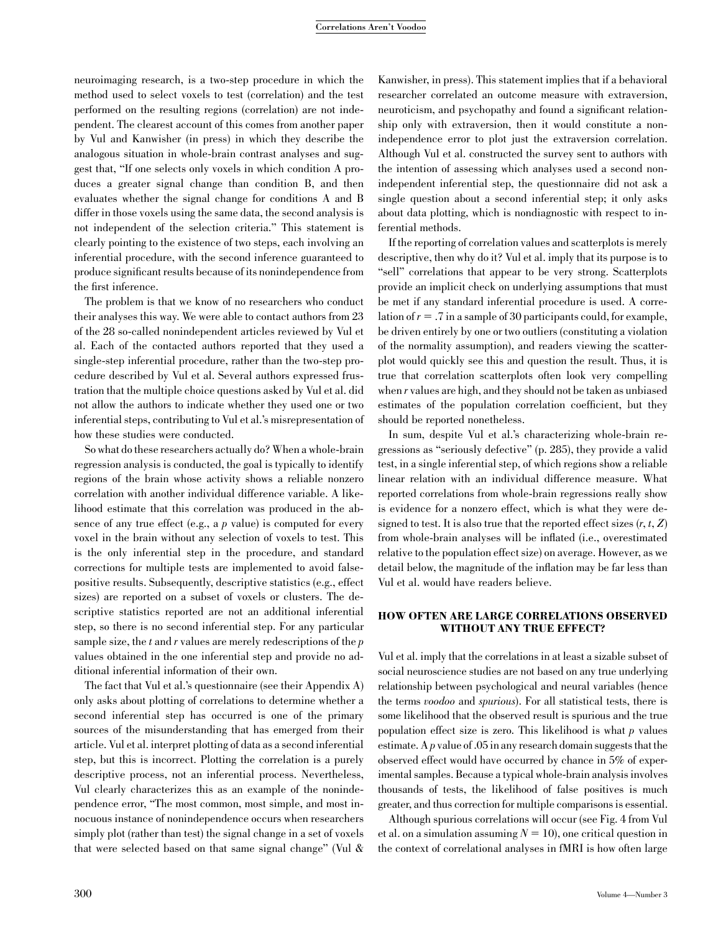neuroimaging research, is a two-step procedure in which the method used to select voxels to test (correlation) and the test performed on the resulting regions (correlation) are not independent. The clearest account of this comes from another paper by Vul and Kanwisher (in press) in which they describe the analogous situation in whole-brain contrast analyses and suggest that, ''If one selects only voxels in which condition A produces a greater signal change than condition B, and then evaluates whether the signal change for conditions A and B differ in those voxels using the same data, the second analysis is not independent of the selection criteria.'' This statement is clearly pointing to the existence of two steps, each involving an inferential procedure, with the second inference guaranteed to produce significant results because of its nonindependence from the first inference.

The problem is that we know of no researchers who conduct their analyses this way. We were able to contact authors from 23 of the 28 so-called nonindependent articles reviewed by Vul et al. Each of the contacted authors reported that they used a single-step inferential procedure, rather than the two-step procedure described by Vul et al. Several authors expressed frustration that the multiple choice questions asked by Vul et al. did not allow the authors to indicate whether they used one or two inferential steps, contributing to Vul et al.'s misrepresentation of how these studies were conducted.

So what do these researchers actually do? When a whole-brain regression analysis is conducted, the goal is typically to identify regions of the brain whose activity shows a reliable nonzero correlation with another individual difference variable. A likelihood estimate that this correlation was produced in the absence of any true effect (e.g., a  $p$  value) is computed for every voxel in the brain without any selection of voxels to test. This is the only inferential step in the procedure, and standard corrections for multiple tests are implemented to avoid falsepositive results. Subsequently, descriptive statistics (e.g., effect sizes) are reported on a subset of voxels or clusters. The descriptive statistics reported are not an additional inferential step, so there is no second inferential step. For any particular sample size, the  $t$  and  $r$  values are merely redescriptions of the  $p$ values obtained in the one inferential step and provide no additional inferential information of their own.

The fact that Vul et al.'s questionnaire (see their Appendix A) only asks about plotting of correlations to determine whether a second inferential step has occurred is one of the primary sources of the misunderstanding that has emerged from their article. Vul et al. interpret plotting of data as a second inferential step, but this is incorrect. Plotting the correlation is a purely descriptive process, not an inferential process. Nevertheless, Vul clearly characterizes this as an example of the nonindependence error, ''The most common, most simple, and most innocuous instance of nonindependence occurs when researchers simply plot (rather than test) the signal change in a set of voxels that were selected based on that same signal change" (Vul  $\&$ 

Kanwisher, in press). This statement implies that if a behavioral researcher correlated an outcome measure with extraversion, neuroticism, and psychopathy and found a significant relationship only with extraversion, then it would constitute a nonindependence error to plot just the extraversion correlation. Although Vul et al. constructed the survey sent to authors with the intention of assessing which analyses used a second nonindependent inferential step, the questionnaire did not ask a single question about a second inferential step; it only asks about data plotting, which is nondiagnostic with respect to inferential methods.

If the reporting of correlation values and scatterplots is merely descriptive, then why do it? Vul et al. imply that its purpose is to "sell" correlations that appear to be very strong. Scatterplots provide an implicit check on underlying assumptions that must be met if any standard inferential procedure is used. A correlation of  $r = .7$  in a sample of 30 participants could, for example, be driven entirely by one or two outliers (constituting a violation of the normality assumption), and readers viewing the scatterplot would quickly see this and question the result. Thus, it is true that correlation scatterplots often look very compelling when r values are high, and they should not be taken as unbiased estimates of the population correlation coefficient, but they should be reported nonetheless.

In sum, despite Vul et al.'s characterizing whole-brain regressions as ''seriously defective'' (p. 285), they provide a valid test, in a single inferential step, of which regions show a reliable linear relation with an individual difference measure. What reported correlations from whole-brain regressions really show is evidence for a nonzero effect, which is what they were designed to test. It is also true that the reported effect sizes  $(r, t, Z)$ from whole-brain analyses will be inflated (i.e., overestimated relative to the population effect size) on average. However, as we detail below, the magnitude of the inflation may be far less than Vul et al. would have readers believe.

# HOW OFTEN ARE LARGE CORRELATIONS OBSERVED WITHOUT ANY TRUE EFFECT?

Vul et al. imply that the correlations in at least a sizable subset of social neuroscience studies are not based on any true underlying relationship between psychological and neural variables (hence the terms voodoo and spurious). For all statistical tests, there is some likelihood that the observed result is spurious and the true population effect size is zero. This likelihood is what  $p$  values estimate. Ap value of .05 in any research domain suggests that the observed effect would have occurred by chance in 5% of experimental samples. Because a typical whole-brain analysis involves thousands of tests, the likelihood of false positives is much greater, and thus correction for multiple comparisons is essential.

Although spurious correlations will occur (see Fig. 4 from Vul et al. on a simulation assuming  $N = 10$ ), one critical question in the context of correlational analyses in fMRI is how often large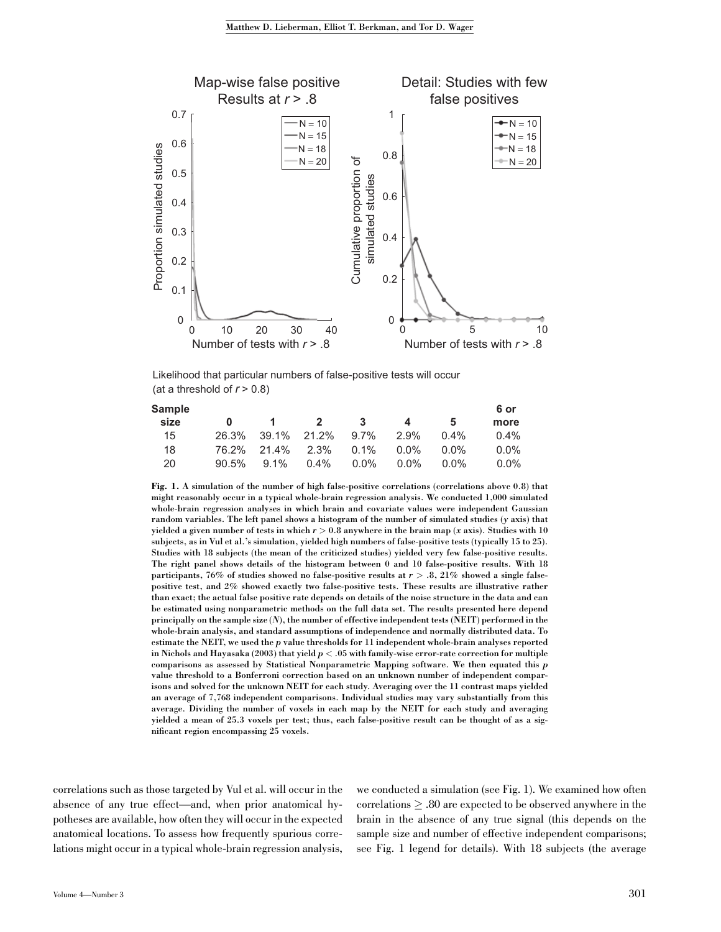

Likelihood that particular numbers of false-positive tests will occur (at a threshold of *r* > 0.8)

| Sample |       |             |                       |              |         |         | 6 or    |
|--------|-------|-------------|-----------------------|--------------|---------|---------|---------|
| size   | n     | $\mathbf 1$ | $\mathbf{p}$          | $\mathbf{3}$ | 4       | 5.      | more    |
| 15     | 26.3% | 39.1% 21.2% |                       | $9.7\%$      | 2.9%    | $0.4\%$ | $0.4\%$ |
| 18     |       |             | 76.2% 21.4% 2.3% 0.1% |              | $0.0\%$ | $0.0\%$ | $0.0\%$ |
| 20     | 90.5% | $9.1\%$     | $0.4\%$               | $0.0\%$      | $0.0\%$ | $0.0\%$ | $0.0\%$ |

Fig. 1. A simulation of the number of high false-positive correlations (correlations above 0.8) that might reasonably occur in a typical whole-brain regression analysis. We conducted 1,000 simulated whole-brain regression analyses in which brain and covariate values were independent Gaussian random variables. The left panel shows a histogram of the number of simulated studies (y axis) that yielded a given number of tests in which  $r > 0.8$  anywhere in the brain map (x axis). Studies with 10 subjects, as in Vul et al.'s simulation, yielded high numbers of false-positive tests (typically 15 to 25). Studies with 18 subjects (the mean of the criticized studies) yielded very few false-positive results. The right panel shows details of the histogram between 0 and 10 false-positive results. With 18 participants, 76% of studies showed no false-positive results at  $r > .8$ , 21% showed a single falsepositive test, and 2% showed exactly two false-positive tests. These results are illustrative rather than exact; the actual false positive rate depends on details of the noise structure in the data and can be estimated using nonparametric methods on the full data set. The results presented here depend principally on the sample size (N), the number of effective independent tests (NEIT) performed in the whole-brain analysis, and standard assumptions of independence and normally distributed data. To estimate the NEIT, we used the p value thresholds for 11 independent whole-brain analyses reported in Nichols and Hayasaka (2003) that yield  $p < .05$  with family-wise error-rate correction for multiple comparisons as assessed by Statistical Nonparametric Mapping software. We then equated this p value threshold to a Bonferroni correction based on an unknown number of independent comparisons and solved for the unknown NEIT for each study. Averaging over the 11 contrast maps yielded an average of 7,768 independent comparisons. Individual studies may vary substantially from this average. Dividing the number of voxels in each map by the NEIT for each study and averaging yielded a mean of 25.3 voxels per test; thus, each false-positive result can be thought of as a significant region encompassing 25 voxels.

correlations such as those targeted by Vul et al. will occur in the absence of any true effect—and, when prior anatomical hypotheses are available, how often they will occur in the expected anatomical locations. To assess how frequently spurious correlations might occur in a typical whole-brain regression analysis,

we conducted a simulation (see Fig. 1). We examined how often  $correlations \geq .80$  are expected to be observed anywhere in the brain in the absence of any true signal (this depends on the sample size and number of effective independent comparisons; see Fig. 1 legend for details). With 18 subjects (the average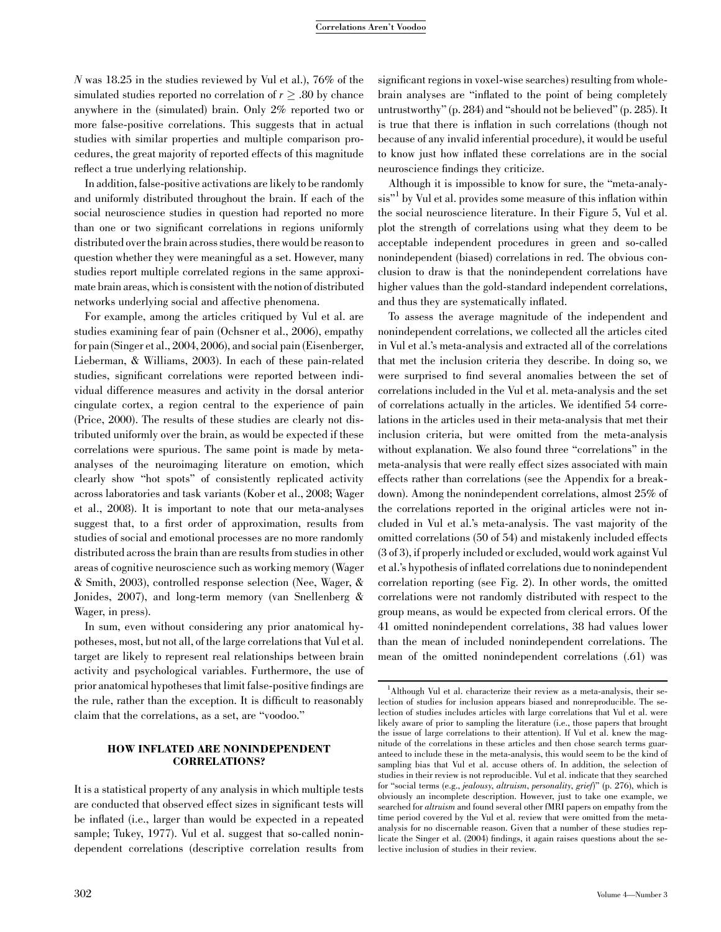N was 18.25 in the studies reviewed by Vul et al.), 76% of the simulated studies reported no correlation of  $r \geq .80$  by chance anywhere in the (simulated) brain. Only 2% reported two or more false-positive correlations. This suggests that in actual studies with similar properties and multiple comparison procedures, the great majority of reported effects of this magnitude reflect a true underlying relationship.

In addition, false-positive activations are likely to be randomly and uniformly distributed throughout the brain. If each of the social neuroscience studies in question had reported no more than one or two significant correlations in regions uniformly distributed over the brain across studies, there would be reason to question whether they were meaningful as a set. However, many studies report multiple correlated regions in the same approximate brain areas, which is consistent with the notion of distributed networks underlying social and affective phenomena.

For example, among the articles critiqued by Vul et al. are studies examining fear of pain (Ochsner et al., 2006), empathy for pain (Singer et al., 2004, 2006), and social pain (Eisenberger, Lieberman, & Williams, 2003). In each of these pain-related studies, significant correlations were reported between individual difference measures and activity in the dorsal anterior cingulate cortex, a region central to the experience of pain (Price, 2000). The results of these studies are clearly not distributed uniformly over the brain, as would be expected if these correlations were spurious. The same point is made by metaanalyses of the neuroimaging literature on emotion, which clearly show ''hot spots'' of consistently replicated activity across laboratories and task variants (Kober et al., 2008; Wager et al., 2008). It is important to note that our meta-analyses suggest that, to a first order of approximation, results from studies of social and emotional processes are no more randomly distributed across the brain than are results from studies in other areas of cognitive neuroscience such as working memory (Wager & Smith, 2003), controlled response selection (Nee, Wager, & Jonides, 2007), and long-term memory (van Snellenberg & Wager, in press).

In sum, even without considering any prior anatomical hypotheses, most, but not all, of the large correlations that Vul et al. target are likely to represent real relationships between brain activity and psychological variables. Furthermore, the use of prior anatomical hypotheses that limit false-positive findings are the rule, rather than the exception. It is difficult to reasonably claim that the correlations, as a set, are ''voodoo.''

#### HOW INFLATED ARE NONINDEPENDENT CORRELATIONS?

It is a statistical property of any analysis in which multiple tests are conducted that observed effect sizes in significant tests will be inflated (i.e., larger than would be expected in a repeated sample; Tukey, 1977). Vul et al. suggest that so-called nonindependent correlations (descriptive correlation results from

significant regions in voxel-wise searches) resulting from wholebrain analyses are ''inflated to the point of being completely untrustworthy'' (p. 284) and ''should not be believed'' (p. 285). It is true that there is inflation in such correlations (though not because of any invalid inferential procedure), it would be useful to know just how inflated these correlations are in the social neuroscience findings they criticize.

Although it is impossible to know for sure, the ''meta-analysis"<sup>1</sup> by Vul et al. provides some measure of this inflation within the social neuroscience literature. In their Figure 5, Vul et al. plot the strength of correlations using what they deem to be acceptable independent procedures in green and so-called nonindependent (biased) correlations in red. The obvious conclusion to draw is that the nonindependent correlations have higher values than the gold-standard independent correlations, and thus they are systematically inflated.

To assess the average magnitude of the independent and nonindependent correlations, we collected all the articles cited in Vul et al.'s meta-analysis and extracted all of the correlations that met the inclusion criteria they describe. In doing so, we were surprised to find several anomalies between the set of correlations included in the Vul et al. meta-analysis and the set of correlations actually in the articles. We identified 54 correlations in the articles used in their meta-analysis that met their inclusion criteria, but were omitted from the meta-analysis without explanation. We also found three "correlations" in the meta-analysis that were really effect sizes associated with main effects rather than correlations (see the Appendix for a breakdown). Among the nonindependent correlations, almost 25% of the correlations reported in the original articles were not included in Vul et al.'s meta-analysis. The vast majority of the omitted correlations (50 of 54) and mistakenly included effects (3 of 3), if properly included or excluded, would work against Vul et al.'s hypothesis of inflated correlations due to nonindependent correlation reporting (see Fig. 2). In other words, the omitted correlations were not randomly distributed with respect to the group means, as would be expected from clerical errors. Of the 41 omitted nonindependent correlations, 38 had values lower than the mean of included nonindependent correlations. The mean of the omitted nonindependent correlations (.61) was

<sup>&</sup>lt;sup>1</sup>Although Vul et al. characterize their review as a meta-analysis, their selection of studies for inclusion appears biased and nonreproducible. The selection of studies includes articles with large correlations that Vul et al. were likely aware of prior to sampling the literature (i.e., those papers that brought the issue of large correlations to their attention). If Vul et al. knew the magnitude of the correlations in these articles and then chose search terms guaranteed to include these in the meta-analysis, this would seem to be the kind of sampling bias that Vul et al. accuse others of. In addition, the selection of studies in their review is not reproducible. Vul et al. indicate that they searched for ''social terms (e.g., jealousy, altruism, personality, grief)'' (p. 276), which is obviously an incomplete description. However, just to take one example, we searched for *altruism* and found several other fMRI papers on empathy from the time period covered by the Vul et al. review that were omitted from the metaanalysis for no discernable reason. Given that a number of these studies replicate the Singer et al. (2004) findings, it again raises questions about the selective inclusion of studies in their review.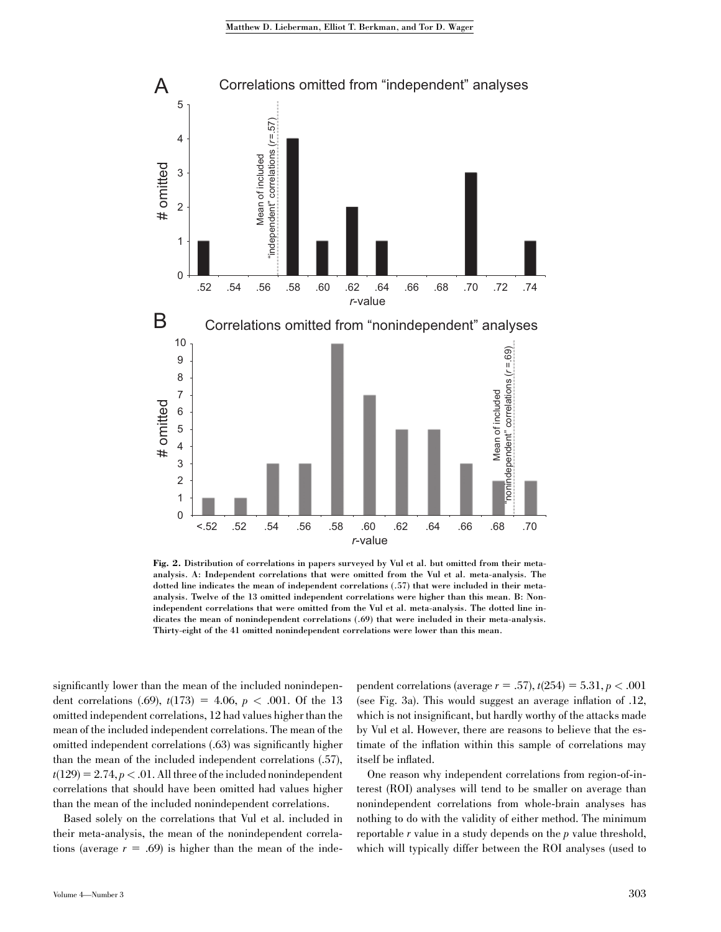

Fig. 2. Distribution of correlations in papers surveyed by Vul et al. but omitted from their metaanalysis. A: Independent correlations that were omitted from the Vul et al. meta-analysis. The dotted line indicates the mean of independent correlations (.57) that were included in their metaanalysis. Twelve of the 13 omitted independent correlations were higher than this mean. B: Nonindependent correlations that were omitted from the Vul et al. meta-analysis. The dotted line indicates the mean of nonindependent correlations (.69) that were included in their meta-analysis. Thirty-eight of the 41 omitted nonindependent correlations were lower than this mean.

significantly lower than the mean of the included nonindependent correlations (.69),  $t(173) = 4.06$ ,  $p < .001$ . Of the 13 omitted independent correlations, 12 had values higher than the mean of the included independent correlations. The mean of the omitted independent correlations (.63) was significantly higher than the mean of the included independent correlations (.57),  $t(129) = 2.74, p < .01$ . All three of the included nonindependent correlations that should have been omitted had values higher than the mean of the included nonindependent correlations.

Based solely on the correlations that Vul et al. included in their meta-analysis, the mean of the nonindependent correlations (average  $r = .69$ ) is higher than the mean of the inde-

pendent correlations (average  $r = .57$ ),  $t(254) = 5.31, p < .001$ (see Fig. 3a). This would suggest an average inflation of .12, which is not insignificant, but hardly worthy of the attacks made by Vul et al. However, there are reasons to believe that the estimate of the inflation within this sample of correlations may itself be inflated.

One reason why independent correlations from region-of-interest (ROI) analyses will tend to be smaller on average than nonindependent correlations from whole-brain analyses has nothing to do with the validity of either method. The minimum reportable  $r$  value in a study depends on the  $p$  value threshold, which will typically differ between the ROI analyses (used to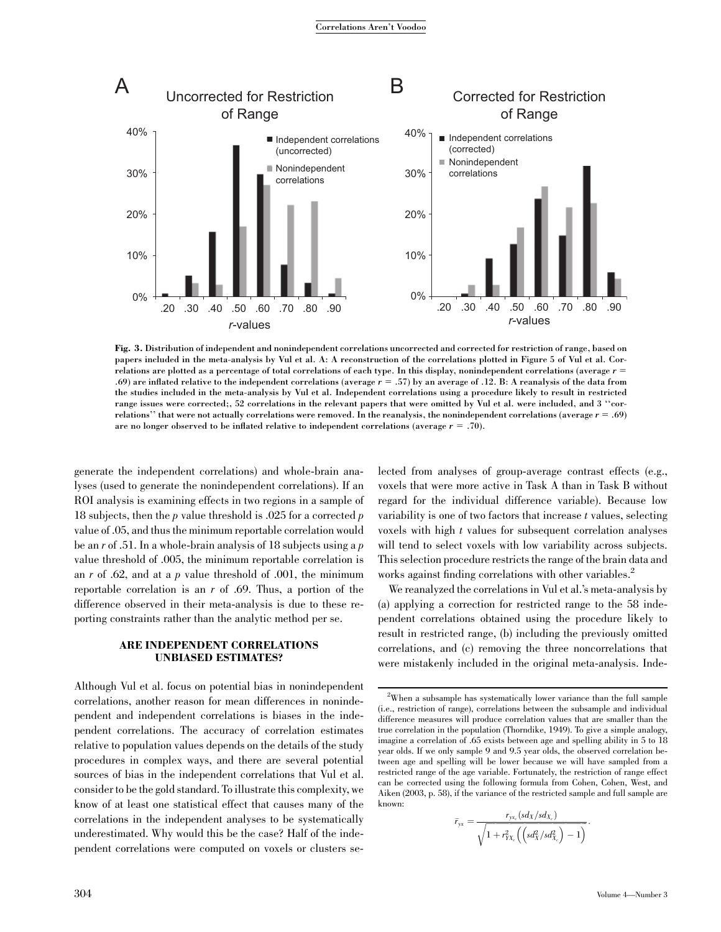

Fig. 3. Distribution of independent and nonindependent correlations uncorrected and corrected for restriction of range, based on papers included in the meta-analysis by Vul et al. A: A reconstruction of the correlations plotted in Figure 5 of Vul et al. Correlations are plotted as a percentage of total correlations of each type. In this display, nonindependent correlations (average  $r =$ .69) are inflated relative to the independent correlations (average  $r = .57$ ) by an average of .12. B: A reanalysis of the data from the studies included in the meta-analysis by Vul et al. Independent correlations using a procedure likely to result in restricted range issues were corrected;, 52 correlations in the relevant papers that were omitted by Vul et al. were included, and 3 ''correlations'' that were not actually correlations were removed. In the reanalysis, the nonindependent correlations (average  $r = .69$ ) are no longer observed to be inflated relative to independent correlations (average  $r = .70$ ).

generate the independent correlations) and whole-brain analyses (used to generate the nonindependent correlations). If an ROI analysis is examining effects in two regions in a sample of 18 subjects, then the p value threshold is .025 for a corrected p value of .05, and thus the minimum reportable correlation would be an r of .51. In a whole-brain analysis of 18 subjects using a  $p$ value threshold of .005, the minimum reportable correlation is an r of .62, and at a p value threshold of .001, the minimum reportable correlation is an  $r$  of .69. Thus, a portion of the difference observed in their meta-analysis is due to these reporting constraints rather than the analytic method per se.

#### ARE INDEPENDENT CORRELATIONS UNBIASED ESTIMATES?

Although Vul et al. focus on potential bias in nonindependent correlations, another reason for mean differences in nonindependent and independent correlations is biases in the independent correlations. The accuracy of correlation estimates relative to population values depends on the details of the study procedures in complex ways, and there are several potential sources of bias in the independent correlations that Vul et al. consider to be the gold standard. To illustrate this complexity, we know of at least one statistical effect that causes many of the correlations in the independent analyses to be systematically underestimated. Why would this be the case? Half of the independent correlations were computed on voxels or clusters selected from analyses of group-average contrast effects (e.g., voxels that were more active in Task A than in Task B without regard for the individual difference variable). Because low variability is one of two factors that increase  $t$  values, selecting voxels with high t values for subsequent correlation analyses will tend to select voxels with low variability across subjects. This selection procedure restricts the range of the brain data and works against finding correlations with other variables.<sup>2</sup>

We reanalyzed the correlations in Vul et al.'s meta-analysis by (a) applying a correction for restricted range to the 58 independent correlations obtained using the procedure likely to result in restricted range, (b) including the previously omitted correlations, and (c) removing the three noncorrelations that were mistakenly included in the original meta-analysis. Inde-

$$
\bar{r}_{yx} = \frac{r_{yx_c}(sd_X/d_{X_c})}{\sqrt{1 + r_{YX_c}^2((sd_X^2/d_{X_c}^2) - 1)}}.
$$

<sup>&</sup>lt;sup>2</sup>When a subsample has systematically lower variance than the full sample (i.e., restriction of range), correlations between the subsample and individual difference measures will produce correlation values that are smaller than the true correlation in the population (Thorndike, 1949). To give a simple analogy, imagine a correlation of .65 exists between age and spelling ability in 5 to 18 year olds. If we only sample 9 and 9.5 year olds, the observed correlation between age and spelling will be lower because we will have sampled from a restricted range of the age variable. Fortunately, the restriction of range effect can be corrected using the following formula from Cohen, Cohen, West, and Aiken (2003, p. 58), if the variance of the restricted sample and full sample are known: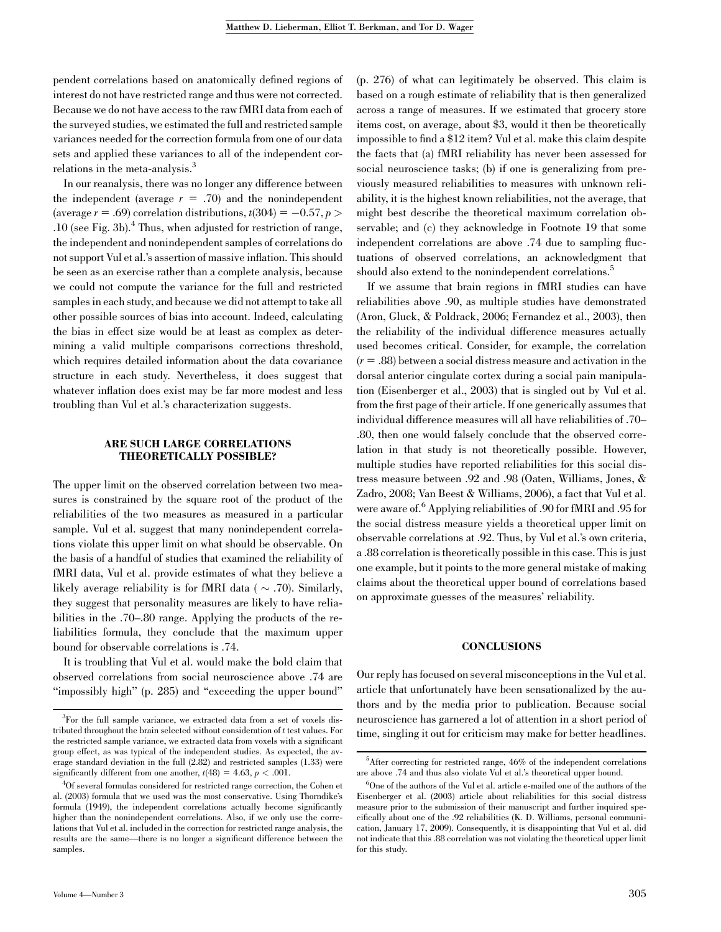pendent correlations based on anatomically defined regions of interest do not have restricted range and thus were not corrected. Because we do not have access to the raw fMRI data from each of the surveyed studies, we estimated the full and restricted sample variances needed for the correction formula from one of our data sets and applied these variances to all of the independent correlations in the meta-analysis.<sup>3</sup>

In our reanalysis, there was no longer any difference between the independent (average  $r = .70$ ) and the nonindependent (average  $r = .69$ ) correlation distributions,  $t(304) = -0.57$ ,  $p >$ .10 (see Fig. 3b).<sup>4</sup> Thus, when adjusted for restriction of range, the independent and nonindependent samples of correlations do not support Vul et al.'s assertion of massive inflation. This should be seen as an exercise rather than a complete analysis, because we could not compute the variance for the full and restricted samples in each study, and because we did not attempt to take all other possible sources of bias into account. Indeed, calculating the bias in effect size would be at least as complex as determining a valid multiple comparisons corrections threshold, which requires detailed information about the data covariance structure in each study. Nevertheless, it does suggest that whatever inflation does exist may be far more modest and less troubling than Vul et al.'s characterization suggests.

#### ARE SUCH LARGE CORRELATIONS THEORETICALLY POSSIBLE?

The upper limit on the observed correlation between two measures is constrained by the square root of the product of the reliabilities of the two measures as measured in a particular sample. Vul et al. suggest that many nonindependent correlations violate this upper limit on what should be observable. On the basis of a handful of studies that examined the reliability of fMRI data, Vul et al. provide estimates of what they believe a likely average reliability is for fMRI data ( $\sim$  .70). Similarly, they suggest that personality measures are likely to have reliabilities in the .70–.80 range. Applying the products of the reliabilities formula, they conclude that the maximum upper bound for observable correlations is .74.

It is troubling that Vul et al. would make the bold claim that observed correlations from social neuroscience above .74 are ''impossibly high'' (p. 285) and ''exceeding the upper bound''

(p. 276) of what can legitimately be observed. This claim is based on a rough estimate of reliability that is then generalized across a range of measures. If we estimated that grocery store items cost, on average, about \$3, would it then be theoretically impossible to find a \$12 item? Vul et al. make this claim despite the facts that (a) fMRI reliability has never been assessed for social neuroscience tasks; (b) if one is generalizing from previously measured reliabilities to measures with unknown reliability, it is the highest known reliabilities, not the average, that might best describe the theoretical maximum correlation observable; and (c) they acknowledge in Footnote 19 that some independent correlations are above .74 due to sampling fluctuations of observed correlations, an acknowledgment that should also extend to the nonindependent correlations.<sup>5</sup>

If we assume that brain regions in fMRI studies can have reliabilities above .90, as multiple studies have demonstrated (Aron, Gluck, & Poldrack, 2006; Fernandez et al., 2003), then the reliability of the individual difference measures actually used becomes critical. Consider, for example, the correlation  $(r = .88)$  between a social distress measure and activation in the dorsal anterior cingulate cortex during a social pain manipulation (Eisenberger et al., 2003) that is singled out by Vul et al. from the first page of their article. If one generically assumes that individual difference measures will all have reliabilities of .70– .80, then one would falsely conclude that the observed correlation in that study is not theoretically possible. However, multiple studies have reported reliabilities for this social distress measure between .92 and .98 (Oaten, Williams, Jones, & Zadro, 2008; Van Beest & Williams, 2006), a fact that Vul et al. were aware of.<sup>6</sup> Applying reliabilities of .90 for fMRI and .95 for the social distress measure yields a theoretical upper limit on observable correlations at .92. Thus, by Vul et al.'s own criteria, a .88 correlation is theoretically possible in this case. This is just one example, but it points to the more general mistake of making claims about the theoretical upper bound of correlations based on approximate guesses of the measures' reliability.

#### **CONCLUSIONS**

Our reply has focused on several misconceptions in the Vul et al. article that unfortunately have been sensationalized by the authors and by the media prior to publication. Because social neuroscience has garnered a lot of attention in a short period of time, singling it out for criticism may make for better headlines.

<sup>&</sup>lt;sup>3</sup>For the full sample variance, we extracted data from a set of voxels distributed throughout the brain selected without consideration of t test values. For the restricted sample variance, we extracted data from voxels with a significant group effect, as was typical of the independent studies. As expected, the average standard deviation in the full (2.82) and restricted samples (1.33) were significantly different from one another,  $t(48) = 4.63$ ,  $p < .001$ .

<sup>4</sup> Of several formulas considered for restricted range correction, the Cohen et al. (2003) formula that we used was the most conservative. Using Thorndike's formula (1949), the independent correlations actually become significantly higher than the nonindependent correlations. Also, if we only use the correlations that Vul et al. included in the correction for restricted range analysis, the results are the same—there is no longer a significant difference between the samples.

<sup>5</sup> After correcting for restricted range, 46% of the independent correlations are above .74 and thus also violate Vul et al.'s theoretical upper bound.

<sup>6</sup> One of the authors of the Vul et al. article e-mailed one of the authors of the Eisenberger et al. (2003) article about reliabilities for this social distress measure prior to the submission of their manuscript and further inquired specifically about one of the .92 reliabilities (K. D. Williams, personal communication, January 17, 2009). Consequently, it is disappointing that Vul et al. did not indicate that this .88 correlation was not violating the theoretical upper limit for this study.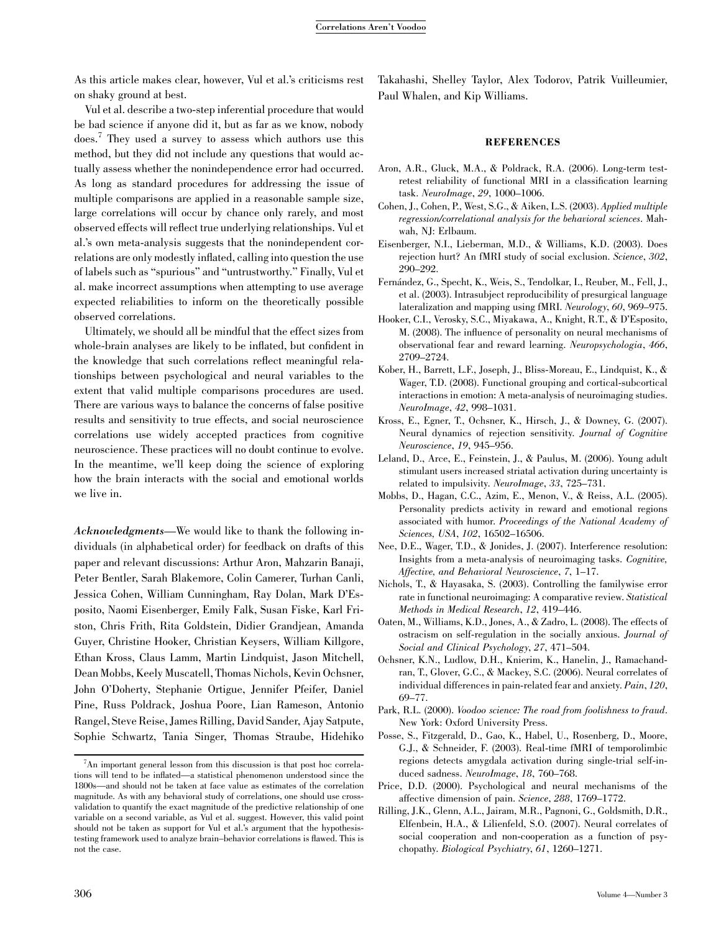As this article makes clear, however, Vul et al.'s criticisms rest on shaky ground at best.

Vul et al. describe a two-step inferential procedure that would be bad science if anyone did it, but as far as we know, nobody does.<sup>7</sup> They used a survey to assess which authors use this method, but they did not include any questions that would actually assess whether the nonindependence error had occurred. As long as standard procedures for addressing the issue of multiple comparisons are applied in a reasonable sample size, large correlations will occur by chance only rarely, and most observed effects will reflect true underlying relationships. Vul et al.'s own meta-analysis suggests that the nonindependent correlations are only modestly inflated, calling into question the use of labels such as ''spurious'' and ''untrustworthy.'' Finally, Vul et al. make incorrect assumptions when attempting to use average expected reliabilities to inform on the theoretically possible observed correlations.

Ultimately, we should all be mindful that the effect sizes from whole-brain analyses are likely to be inflated, but confident in the knowledge that such correlations reflect meaningful relationships between psychological and neural variables to the extent that valid multiple comparisons procedures are used. There are various ways to balance the concerns of false positive results and sensitivity to true effects, and social neuroscience correlations use widely accepted practices from cognitive neuroscience. These practices will no doubt continue to evolve. In the meantime, we'll keep doing the science of exploring how the brain interacts with the social and emotional worlds we live in.

Acknowledgments—We would like to thank the following individuals (in alphabetical order) for feedback on drafts of this paper and relevant discussions: Arthur Aron, Mahzarin Banaji, Peter Bentler, Sarah Blakemore, Colin Camerer, Turhan Canli, Jessica Cohen, William Cunningham, Ray Dolan, Mark D'Esposito, Naomi Eisenberger, Emily Falk, Susan Fiske, Karl Friston, Chris Frith, Rita Goldstein, Didier Grandjean, Amanda Guyer, Christine Hooker, Christian Keysers, William Killgore, Ethan Kross, Claus Lamm, Martin Lindquist, Jason Mitchell, Dean Mobbs, Keely Muscatell, Thomas Nichols, Kevin Ochsner, John O'Doherty, Stephanie Ortigue, Jennifer Pfeifer, Daniel Pine, Russ Poldrack, Joshua Poore, Lian Rameson, Antonio Rangel, Steve Reise, James Rilling, David Sander, Ajay Satpute, Sophie Schwartz, Tania Singer, Thomas Straube, Hidehiko Takahashi, Shelley Taylor, Alex Todorov, Patrik Vuilleumier, Paul Whalen, and Kip Williams.

#### REFERENCES

- Aron, A.R., Gluck, M.A., & Poldrack, R.A. (2006). Long-term testretest reliability of functional MRI in a classification learning task. NeuroImage, 29, 1000–1006.
- Cohen, J., Cohen, P., West, S.G., & Aiken, L.S. (2003). Applied multiple regression/correlational analysis for the behavioral sciences. Mahwah, NJ: Erlbaum.
- Eisenberger, N.I., Lieberman, M.D., & Williams, K.D. (2003). Does rejection hurt? An fMRI study of social exclusion. Science, 302, 290–292.
- Fernández, G., Specht, K., Weis, S., Tendolkar, I., Reuber, M., Fell, J., et al. (2003). Intrasubject reproducibility of presurgical language lateralization and mapping using fMRI. Neurology, 60, 969–975.
- Hooker, C.I., Verosky, S.C., Miyakawa, A., Knight, R.T., & D'Esposito, M. (2008). The influence of personality on neural mechanisms of observational fear and reward learning. Neuropsychologia, 466, 2709–2724.
- Kober, H., Barrett, L.F., Joseph, J., Bliss-Moreau, E., Lindquist, K., & Wager, T.D. (2008). Functional grouping and cortical-subcortical interactions in emotion: A meta-analysis of neuroimaging studies. NeuroImage, 42, 998–1031.
- Kross, E., Egner, T., Ochsner, K., Hirsch, J., & Downey, G. (2007). Neural dynamics of rejection sensitivity. Journal of Cognitive Neuroscience, 19, 945–956.
- Leland, D., Arce, E., Feinstein, J., & Paulus, M. (2006). Young adult stimulant users increased striatal activation during uncertainty is related to impulsivity. NeuroImage, 33, 725–731.
- Mobbs, D., Hagan, C.C., Azim, E., Menon, V., & Reiss, A.L. (2005). Personality predicts activity in reward and emotional regions associated with humor. Proceedings of the National Academy of Sciences, USA, 102, 16502–16506.
- Nee, D.E., Wager, T.D., & Jonides, J. (2007). Interference resolution: Insights from a meta-analysis of neuroimaging tasks. Cognitive, Affective, and Behavioral Neuroscience, 7, 1–17.
- Nichols, T., & Hayasaka, S. (2003). Controlling the familywise error rate in functional neuroimaging: A comparative review. Statistical Methods in Medical Research, 12, 419–446.
- Oaten, M., Williams, K.D., Jones, A., & Zadro, L. (2008). The effects of ostracism on self-regulation in the socially anxious. Journal of Social and Clinical Psychology, 27, 471–504.
- Ochsner, K.N., Ludlow, D.H., Knierim, K., Hanelin, J., Ramachandran, T., Glover, G.C., & Mackey, S.C. (2006). Neural correlates of individual differences in pain-related fear and anxiety. Pain, 120, 69–77.
- Park, R.L. (2000). Voodoo science: The road from foolishness to fraud. New York: Oxford University Press.
- Posse, S., Fitzgerald, D., Gao, K., Habel, U., Rosenberg, D., Moore, G.J., & Schneider, F. (2003). Real-time fMRI of temporolimbic regions detects amygdala activation during single-trial self-induced sadness. NeuroImage, 18, 760–768.
- Price, D.D. (2000). Psychological and neural mechanisms of the affective dimension of pain. Science, 288, 1769–1772.
- Rilling, J.K., Glenn, A.L., Jairam, M.R., Pagnoni, G., Goldsmith, D.R., Elfenbein, H.A., & Lilienfeld, S.O. (2007). Neural correlates of social cooperation and non-cooperation as a function of psychopathy. Biological Psychiatry, 61, 1260–1271.

<sup>&</sup>lt;sup>7</sup>An important general lesson from this discussion is that post hoc correlations will tend to be inflated—a statistical phenomenon understood since the 1800s—and should not be taken at face value as estimates of the correlation magnitude. As with any behavioral study of correlations, one should use crossvalidation to quantify the exact magnitude of the predictive relationship of one variable on a second variable, as Vul et al. suggest. However, this valid point should not be taken as support for Vul et al.'s argument that the hypothesistesting framework used to analyze brain–behavior correlations is flawed. This is not the case.